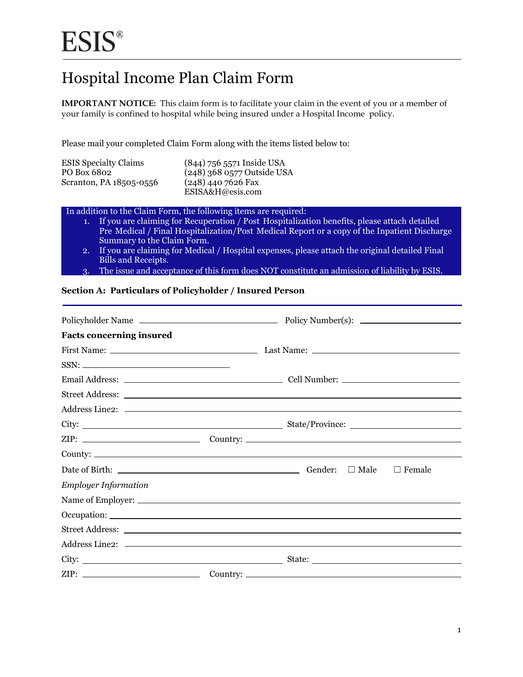## Hospital Income Plan Claim Form

**IMPORTANT NOTICE:** This claim form is to facilitate your claim in the event of you or a member of your family is confined to hospital while being insured under a Hospital Income policy.

Please mail your completed Claim Form along with the items listed below to:

| <b>ESIS Specialty Claims</b><br>PO Box 6802 | (844) 756 5571 Inside USA<br>$(248)$ 368 0577 Outside USA |
|---------------------------------------------|-----------------------------------------------------------|
| Scranton, PA 18505-0556                     | $(248)$ 440 7626 Fax                                      |
|                                             | ESISA&H@esis.com                                          |

In addition to the Claim Form, the following items are required:

- 1. If you are claiming for Recuperation / Post Hospitalization benefits, please attach detailed Pre Medical / Final Hospitalization/Post Medical Report or a copy of the Inpatient Discharge Summary to the Claim Form.
- 2. If you are claiming for Medical / Hospital expenses, please attach the original detailed Final Bills and Receipts.
- 3. The issue and acceptance of this form does NOT constitute an admission of liability by ESIS.

#### **Section A: Particulars of Policyholder / Insured Person**

| <b>Facts concerning insured</b>                                                         |                                      |
|-----------------------------------------------------------------------------------------|--------------------------------------|
|                                                                                         |                                      |
| $SSN: \begin{tabular}{c} \multicolumn{2}{c} {\textbf{\textend{tabular}}} \end{tabular}$ |                                      |
|                                                                                         |                                      |
|                                                                                         |                                      |
|                                                                                         |                                      |
|                                                                                         |                                      |
|                                                                                         |                                      |
|                                                                                         |                                      |
|                                                                                         | Gender: $\Box$ Male<br>$\Box$ Female |
| <b>Employer Information</b>                                                             |                                      |
|                                                                                         |                                      |
|                                                                                         |                                      |
|                                                                                         |                                      |
|                                                                                         |                                      |
|                                                                                         |                                      |
|                                                                                         |                                      |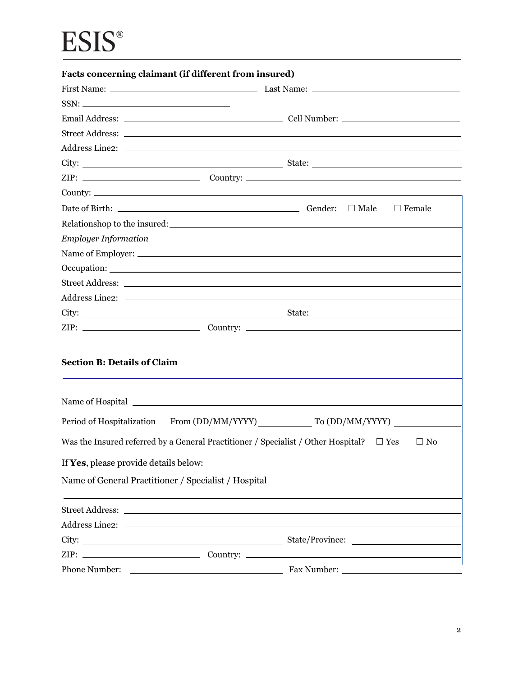# **ESIS®**

|                                                                             | Facts concerning claimant (if different from insured)                                                                                                                                                                          |                                                                                                                                                                             |
|-----------------------------------------------------------------------------|--------------------------------------------------------------------------------------------------------------------------------------------------------------------------------------------------------------------------------|-----------------------------------------------------------------------------------------------------------------------------------------------------------------------------|
|                                                                             |                                                                                                                                                                                                                                |                                                                                                                                                                             |
|                                                                             |                                                                                                                                                                                                                                |                                                                                                                                                                             |
|                                                                             |                                                                                                                                                                                                                                |                                                                                                                                                                             |
|                                                                             |                                                                                                                                                                                                                                |                                                                                                                                                                             |
|                                                                             |                                                                                                                                                                                                                                |                                                                                                                                                                             |
|                                                                             |                                                                                                                                                                                                                                |                                                                                                                                                                             |
|                                                                             |                                                                                                                                                                                                                                |                                                                                                                                                                             |
|                                                                             |                                                                                                                                                                                                                                |                                                                                                                                                                             |
|                                                                             | Date of Birth: $\qquad \qquad$ Cender: $\Box$ Male                                                                                                                                                                             | $\Box$ Female                                                                                                                                                               |
|                                                                             |                                                                                                                                                                                                                                |                                                                                                                                                                             |
| <b>Employer Information</b>                                                 |                                                                                                                                                                                                                                |                                                                                                                                                                             |
|                                                                             |                                                                                                                                                                                                                                |                                                                                                                                                                             |
|                                                                             |                                                                                                                                                                                                                                |                                                                                                                                                                             |
|                                                                             |                                                                                                                                                                                                                                |                                                                                                                                                                             |
|                                                                             |                                                                                                                                                                                                                                |                                                                                                                                                                             |
|                                                                             |                                                                                                                                                                                                                                |                                                                                                                                                                             |
|                                                                             |                                                                                                                                                                                                                                |                                                                                                                                                                             |
| <b>Section B: Details of Claim</b><br>If Yes, please provide details below: |                                                                                                                                                                                                                                | Period of Hospitalization From (DD/MM/YYYY) To (DD/MM/YYYY)<br>Was the Insured referred by a General Practitioner / Specialist / Other Hospital? $\square$ Yes<br>$\Box$ No |
| Name of General Practitioner / Specialist / Hospital                        |                                                                                                                                                                                                                                |                                                                                                                                                                             |
|                                                                             |                                                                                                                                                                                                                                |                                                                                                                                                                             |
|                                                                             | Street Address: No. 2016. The Street Address: No. 2016. The Street Address: No. 2016. The Street Address: No. 2017. The Street Address: No. 2017. The Street Address: No. 2017. The Street Address: No. 2017. The Street Addre |                                                                                                                                                                             |
|                                                                             |                                                                                                                                                                                                                                |                                                                                                                                                                             |
|                                                                             |                                                                                                                                                                                                                                |                                                                                                                                                                             |
|                                                                             |                                                                                                                                                                                                                                | $ZIP:$ $\qquad \qquad \qquad \qquad \qquad \qquad \qquad \qquad \qquad \qquad \text{Country:}$                                                                              |
|                                                                             |                                                                                                                                                                                                                                |                                                                                                                                                                             |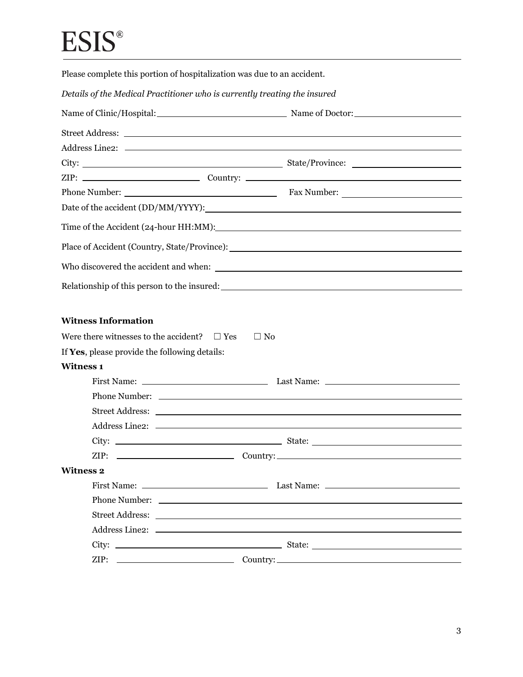# **ESIS®**

Please complete this portion of hospitalization was due to an accident.

*Details of the Medical Practitioner who is currently treating the insured* 

| Name of Clinic/Hospital: Name of Doctor:                         |  |  |
|------------------------------------------------------------------|--|--|
|                                                                  |  |  |
|                                                                  |  |  |
|                                                                  |  |  |
|                                                                  |  |  |
|                                                                  |  |  |
|                                                                  |  |  |
|                                                                  |  |  |
|                                                                  |  |  |
|                                                                  |  |  |
|                                                                  |  |  |
| <b>Witness Information</b>                                       |  |  |
| Were there witnesses to the accident? $\square$ Yes $\square$ No |  |  |
| If Yes, please provide the following details:                    |  |  |
| <b>Witness 1</b>                                                 |  |  |
|                                                                  |  |  |
|                                                                  |  |  |
|                                                                  |  |  |
|                                                                  |  |  |
|                                                                  |  |  |
|                                                                  |  |  |
| <b>Witness 2</b>                                                 |  |  |
|                                                                  |  |  |
|                                                                  |  |  |
|                                                                  |  |  |
|                                                                  |  |  |
|                                                                  |  |  |
|                                                                  |  |  |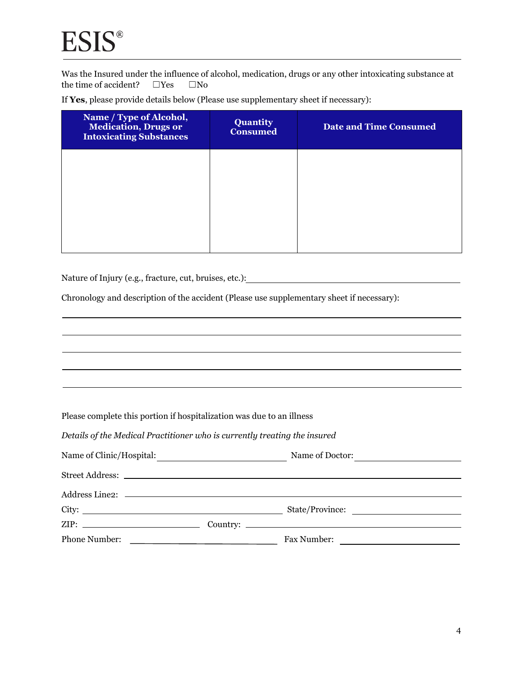the time of accident?  $\square$  Yes  $\square$  No Was the Insured under the influence of alcohol, medication, drugs or any other intoxicating substance at

If **Yes**, please provide details below (Please use supplementary sheet if necessary):

| Name / Type of Alcohol,<br><b>Medication, Drugs or</b><br><b>Intoxicating Substances</b> | <b>Quantity</b><br><b>Consumed</b> | <b>Date and Time Consumed</b> |
|------------------------------------------------------------------------------------------|------------------------------------|-------------------------------|
|                                                                                          |                                    |                               |
|                                                                                          |                                    |                               |
|                                                                                          |                                    |                               |

Nature of Injury (e.g., fracture, cut, bruises, etc.):

Chronology and description of the accident (Please use supplementary sheet if necessary):

Please complete this portion if hospitalization was due to an illness

| Name of Clinic/Hospital: | Name of Doctor: |
|--------------------------|-----------------|
|                          |                 |
|                          |                 |
|                          | State/Province: |
|                          |                 |
|                          | Fax Number:     |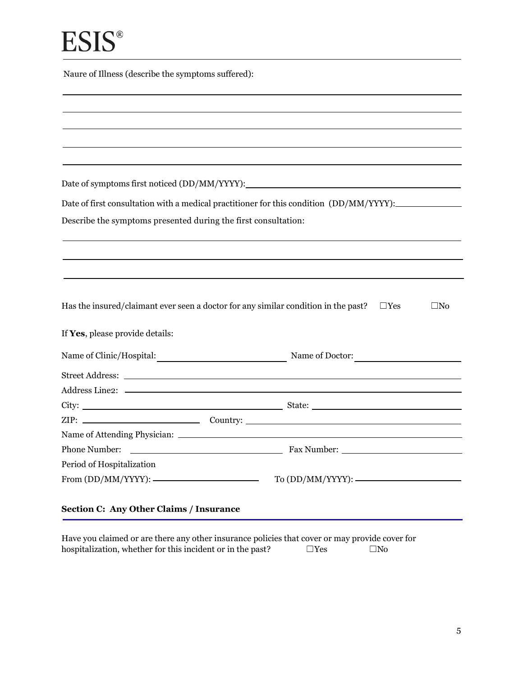| Naure of Illness (describe the symptoms suffered): |  |  |  |
|----------------------------------------------------|--|--|--|
|----------------------------------------------------|--|--|--|

Date of symptoms first noticed (DD/MM/YYYY):

| Date of first consultation with a medical practitioner for this condition (DD/MM/YYYY):_ |  |  |  |
|------------------------------------------------------------------------------------------|--|--|--|
|                                                                                          |  |  |  |

Describe the symptoms presented during the first consultation:

Has the insured/claimant ever seen a doctor for any similar condition in the past?  $□Yes$   $□No$ 

|  |  |  | If Yes, please provide details: |  |
|--|--|--|---------------------------------|--|
|--|--|--|---------------------------------|--|

|                           | Name of Clinic/Hospital: Name of Doctor: |
|---------------------------|------------------------------------------|
|                           |                                          |
|                           |                                          |
|                           |                                          |
|                           |                                          |
|                           |                                          |
|                           |                                          |
| Period of Hospitalization |                                          |
|                           |                                          |
|                           |                                          |

#### **Section C: Any Other Claims / Insurance**

hospitalization, whether for this incident or in the past?  $\square$  Yes  $\square$  No Have you claimed or are there any other insurance policies that cover or may provide cover for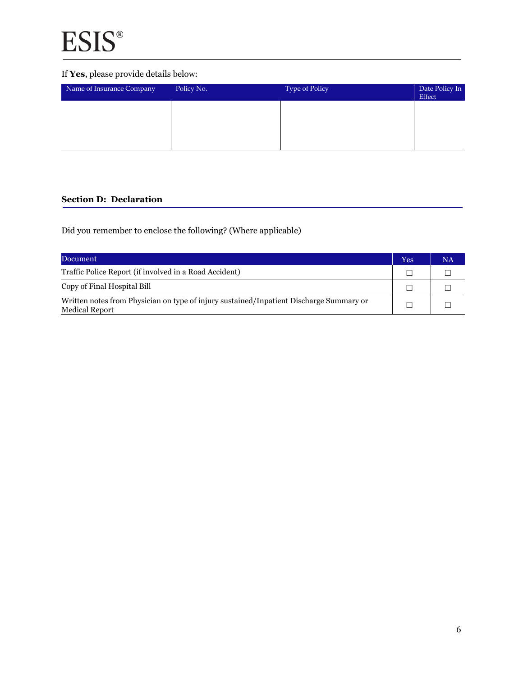### If **Yes**, please provide details below:

| Name of Insurance Company | Policy No. | Type of Policy | Date Policy In<br>Effect |
|---------------------------|------------|----------------|--------------------------|
|                           |            |                |                          |
|                           |            |                |                          |
|                           |            |                |                          |

### **Section D: Declaration**

Did you remember to enclose the following? (Where applicable)

| Document                                                                                                         | Yes | NA |
|------------------------------------------------------------------------------------------------------------------|-----|----|
| Traffic Police Report (if involved in a Road Accident)                                                           |     |    |
| Copy of Final Hospital Bill                                                                                      |     |    |
| Written notes from Physician on type of injury sustained/Inpatient Discharge Summary or<br><b>Medical Report</b> |     |    |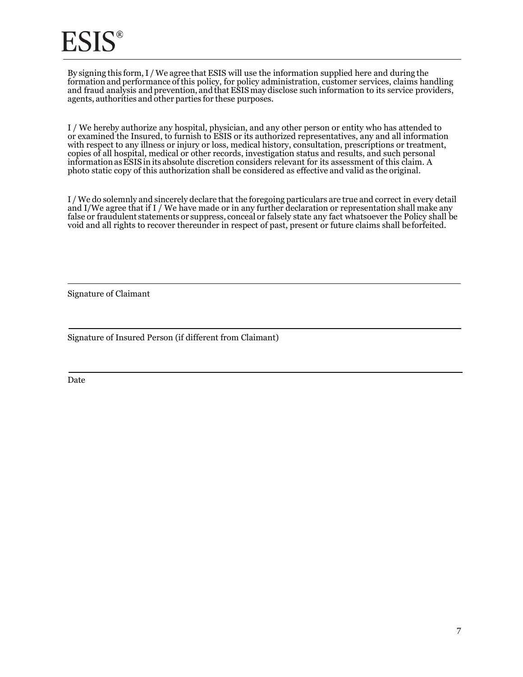By signing this form, I / We agree that ESIS will use the information supplied here and during the formation and performance of this policy, for policy administration, customer services, claims handling and fraud analysis and prevention, and that ESIS may disclose such information to its service providers, agents, authorities and other parties for these purposes.

j. photo static copy of this authorization shall be considered as effective and valid as the original. I / We hereby authorize any hospital, physician, and any other person or entity who has attended to or examined the Insured, to furnish to ESIS or its authorized representatives, any and all information with respect to any illness or injury or loss, medical history, consultation, prescriptions or treatment, copies of all hospital, medical or other records, investigation status and results, and such personal information as ESIS in its absolute discretion considers relevant for its assessment of this claim. A

J Ì. false or fraudulent statements or suppress, conceal or falsely state any fact whatsoever the Policy shall be void and all rights to recover thereunder in respect of past, present or future claims shall beforfeited. I / We do solemnly and sincerely declare that the foregoing particulars are true and correct in every detail and I/We agree that if I / We have made or in any further declaration or representation shall make any

Signature of Claimant

Signature of Insured Person (if different from Claimant)

Date